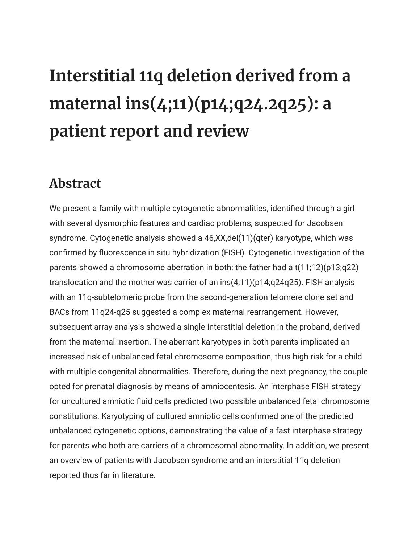## **Interstitial 11q deletion derived from a maternal ins(4;11)(p14;q24.2q25): a patient report and review**

## **Abstract**

We present a family with multiple cytogenetic abnormalities, identified through a girl with several dysmorphic features and cardiac problems, suspected for Jacobsen syndrome. Cytogenetic analysis showed a 46,XX,del(11)(qter) karyotype, which was confirmed by fluorescence in situ hybridization (FISH). Cytogenetic investigation of the parents showed a chromosome aberration in both: the father had a t(11;12)(p13;q22) translocation and the mother was carrier of an ins(4;11)(p14;q24q25). FISH analysis with an 11q-subtelomeric probe from the second-generation telomere clone set and BACs from 11q24-q25 suggested a complex maternal rearrangement. However, subsequent array analysis showed a single interstitial deletion in the proband, derived from the maternal insertion. The aberrant karyotypes in both parents implicated an increased risk of unbalanced fetal chromosome composition, thus high risk for a child with multiple congenital abnormalities. Therefore, during the next pregnancy, the couple opted for prenatal diagnosis by means of amniocentesis. An interphase FISH strategy for uncultured amniotic fluid cells predicted two possible unbalanced fetal chromosome constitutions. Karyotyping of cultured amniotic cells confirmed one of the predicted unbalanced cytogenetic options, demonstrating the value of a fast interphase strategy for parents who both are carriers of a chromosomal abnormality. In addition, we present an overview of patients with Jacobsen syndrome and an interstitial 11q deletion reported thus far in literature.